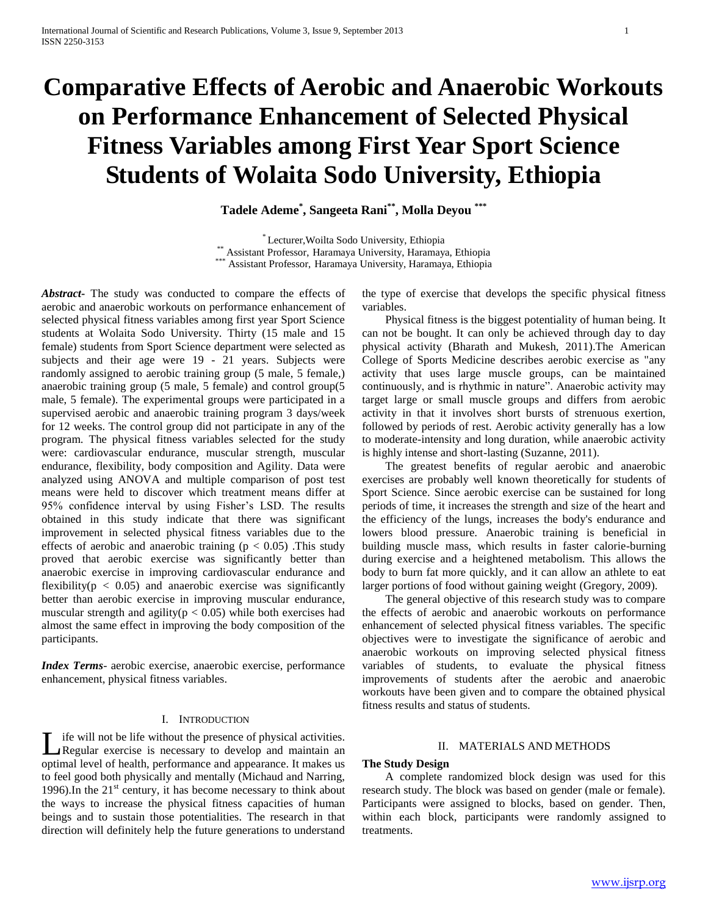# **Comparative Effects of Aerobic and Anaerobic Workouts on Performance Enhancement of Selected Physical Fitness Variables among First Year Sport Science Students of Wolaita Sodo University, Ethiopia**

**Tadele Ademe\* , Sangeeta Rani\*\* , Molla Deyou \*\*\***

\* Lecturer,Woilta Sodo University, Ethiopia \*\* Assistant Professor, Haramaya University, Haramaya, Ethiopia \* Assistant Professor, Haramaya University, Haramaya, Ethiopia

*Abstract***-** The study was conducted to compare the effects of aerobic and anaerobic workouts on performance enhancement of selected physical fitness variables among first year Sport Science students at Wolaita Sodo University. Thirty (15 male and 15 female) students from Sport Science department were selected as subjects and their age were 19 - 21 years. Subjects were randomly assigned to aerobic training group (5 male, 5 female,) anaerobic training group (5 male, 5 female) and control group(5 male, 5 female). The experimental groups were participated in a supervised aerobic and anaerobic training program 3 days/week for 12 weeks. The control group did not participate in any of the program. The physical fitness variables selected for the study were: cardiovascular endurance, muscular strength, muscular endurance, flexibility, body composition and Agility. Data were analyzed using ANOVA and multiple comparison of post test means were held to discover which treatment means differ at 95% confidence interval by using Fisher's LSD. The results obtained in this study indicate that there was significant improvement in selected physical fitness variables due to the effects of aerobic and anaerobic training ( $p < 0.05$ ). This study proved that aerobic exercise was significantly better than anaerobic exercise in improving cardiovascular endurance and flexibility( $p < 0.05$ ) and anaerobic exercise was significantly better than aerobic exercise in improving muscular endurance, muscular strength and agility( $p < 0.05$ ) while both exercises had almost the same effect in improving the body composition of the participants.

*Index Terms*- aerobic exercise, anaerobic exercise, performance enhancement, physical fitness variables.

#### I. INTRODUCTION

ife will not be life without the presence of physical activities. Let uill not be life without the presence of physical activities.<br>Regular exercise is necessary to develop and maintain an optimal level of health, performance and appearance. It makes us to feel good both physically and mentally (Michaud and Narring, 1996). In the  $21<sup>st</sup>$  century, it has become necessary to think about the ways to increase the physical fitness capacities of human beings and to sustain those potentialities. The research in that direction will definitely help the future generations to understand

the type of exercise that develops the specific physical fitness variables.

 Physical fitness is the biggest potentiality of human being. It can not be bought. It can only be achieved through day to day physical activity (Bharath and Mukesh, 2011).The American College of Sports Medicine describes aerobic exercise as "any activity that uses large muscle groups, can be maintained continuously, and is rhythmic in nature". Anaerobic activity may target large or small muscle groups and differs from aerobic activity in that it involves short bursts of strenuous exertion, followed by periods of rest. Aerobic activity generally has a low to moderate-intensity and long duration, while anaerobic activity is highly intense and short-lasting (Suzanne, 2011).

 The greatest benefits of regular aerobic and anaerobic exercises are probably well known theoretically for students of Sport Science. Since aerobic exercise can be sustained for long periods of time, it increases the strength and size of the heart and the efficiency of the lungs, increases the body's endurance and lowers blood pressure. Anaerobic training is beneficial in building muscle mass, which results in faster calorie-burning during exercise and a heightened metabolism. This allows the body to burn fat more quickly, and it can allow an athlete to eat larger portions of food without gaining weight (Gregory, 2009).

 The general objective of this research study was to compare the effects of aerobic and anaerobic workouts on performance enhancement of selected physical fitness variables. The specific objectives were to investigate the significance of aerobic and anaerobic workouts on improving selected physical fitness variables of students, to evaluate the physical fitness improvements of students after the aerobic and anaerobic workouts have been given and to compare the obtained physical fitness results and status of students.

# II. MATERIALS AND METHODS

# **The Study Design**

 A complete randomized block design was used for this research study. The block was based on gender (male or female). Participants were assigned to blocks, based on gender. Then, within each block, participants were randomly assigned to treatments.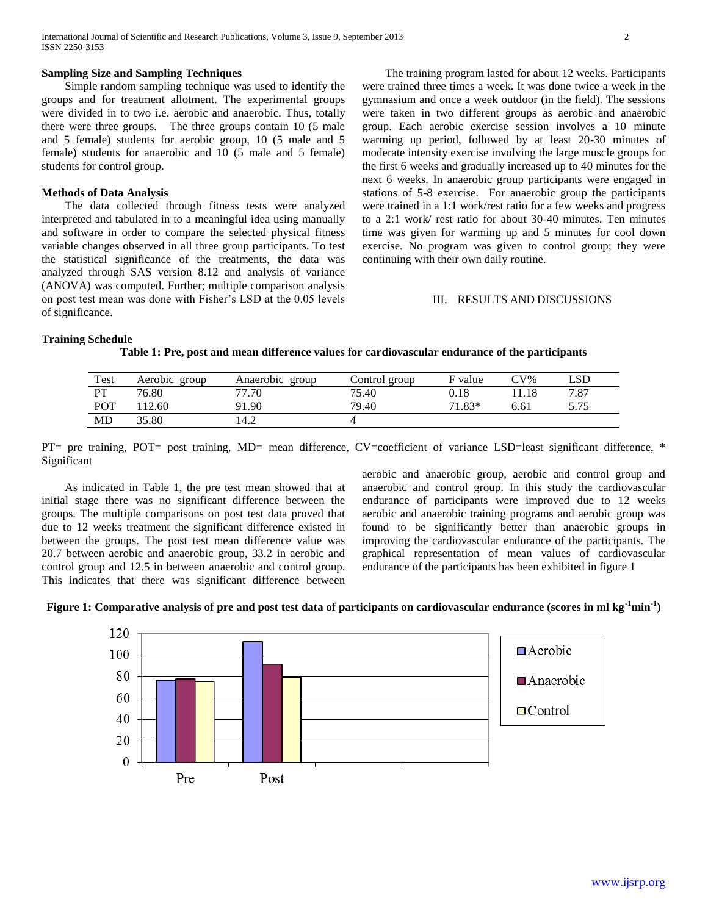## **Sampling Size and Sampling Techniques**

 Simple random sampling technique was used to identify the groups and for treatment allotment. The experimental groups were divided in to two i.e. aerobic and anaerobic. Thus, totally there were three groups. The three groups contain 10 (5 male and 5 female) students for aerobic group, 10 (5 male and 5 female) students for anaerobic and 10 (5 male and 5 female) students for control group.

## **Methods of Data Analysis**

 The data collected through fitness tests were analyzed interpreted and tabulated in to a meaningful idea using manually and software in order to compare the selected physical fitness variable changes observed in all three group participants. To test the statistical significance of the treatments, the data was analyzed through SAS version 8.12 and analysis of variance (ANOVA) was computed. Further; multiple comparison analysis on post test mean was done with Fisher's LSD at the 0.05 levels of significance.

 The training program lasted for about 12 weeks. Participants were trained three times a week. It was done twice a week in the gymnasium and once a week outdoor (in the field). The sessions were taken in two different groups as aerobic and anaerobic group. Each aerobic exercise session involves a 10 minute warming up period, followed by at least 20-30 minutes of moderate intensity exercise involving the large muscle groups for the first 6 weeks and gradually increased up to 40 minutes for the next 6 weeks. In anaerobic group participants were engaged in stations of 5-8 exercise. For anaerobic group the participants were trained in a 1:1 work/rest ratio for a few weeks and progress to a 2:1 work/ rest ratio for about 30-40 minutes. Ten minutes time was given for warming up and 5 minutes for cool down exercise. No program was given to control group; they were continuing with their own daily routine.

# III. RESULTS AND DISCUSSIONS

#### **Training Schedule**

**Table 1: Pre, post and mean difference values for cardiovascular endurance of the participants**

| Test      | Aerobic group | Anaerobic group | Control group | F value | $CV\%$ | LSD. |
|-----------|---------------|-----------------|---------------|---------|--------|------|
| <b>PT</b> | 76.80         | 77.70           | 75.40         |         | 11.18  | 7.87 |
| POT       | 12.60         | 91.90           | 79.40         | 71.83*  | 5.61   | 575  |
| MD        | 35.80         | l4.2            |               |         |        |      |

PT= pre training, POT= post training, MD= mean difference, CV=coefficient of variance LSD=least significant difference, \* Significant

 As indicated in Table 1, the pre test mean showed that at initial stage there was no significant difference between the groups. The multiple comparisons on post test data proved that due to 12 weeks treatment the significant difference existed in between the groups. The post test mean difference value was 20.7 between aerobic and anaerobic group, 33.2 in aerobic and control group and 12.5 in between anaerobic and control group. This indicates that there was significant difference between aerobic and anaerobic group, aerobic and control group and anaerobic and control group. In this study the cardiovascular endurance of participants were improved due to 12 weeks aerobic and anaerobic training programs and aerobic group was found to be significantly better than anaerobic groups in improving the cardiovascular endurance of the participants. The graphical representation of mean values of cardiovascular endurance of the participants has been exhibited in figure 1



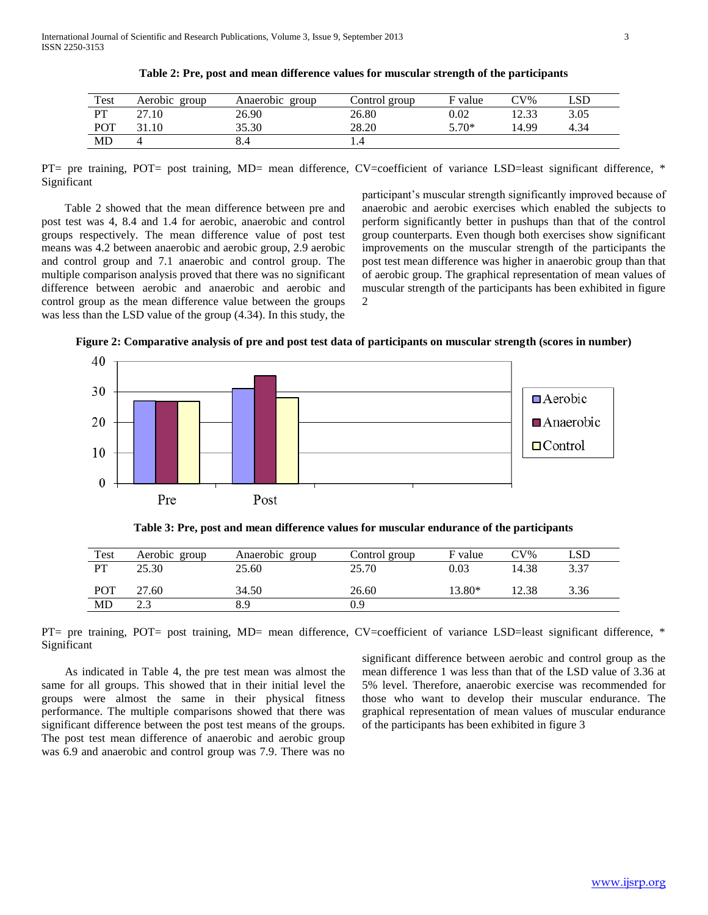| Test      | Aerobic group | Anaerobic group | Control group | F value | $CV\%$ | _SD  |
|-----------|---------------|-----------------|---------------|---------|--------|------|
| <b>PT</b> | 27.10         | 26.90           | 26.80         | 0.02    | 12.33  | 3.05 |
| POT       |               | 35.30           | 28.20         | $5.70*$ | 14.99  | 4.34 |
| MD        |               | 8.4             |               |         |        |      |

**Table 2: Pre, post and mean difference values for muscular strength of the participants**

PT= pre training, POT= post training, MD= mean difference, CV=coefficient of variance LSD=least significant difference, \* Significant

 Table 2 showed that the mean difference between pre and post test was 4, 8.4 and 1.4 for aerobic, anaerobic and control groups respectively. The mean difference value of post test means was 4.2 between anaerobic and aerobic group, 2.9 aerobic and control group and 7.1 anaerobic and control group. The multiple comparison analysis proved that there was no significant difference between aerobic and anaerobic and aerobic and control group as the mean difference value between the groups was less than the LSD value of the group (4.34). In this study, the

participant's muscular strength significantly improved because of anaerobic and aerobic exercises which enabled the subjects to perform significantly better in pushups than that of the control group counterparts. Even though both exercises show significant improvements on the muscular strength of the participants the post test mean difference was higher in anaerobic group than that of aerobic group. The graphical representation of mean values of muscular strength of the participants has been exhibited in figure 2

**Figure 2: Comparative analysis of pre and post test data of participants on muscular strength (scores in number)**



**Table 3: Pre, post and mean difference values for muscular endurance of the participants**

| Test      | Aerobic group | Anaerobic group | Control group | F value | $CV\%$ | LSD  |
|-----------|---------------|-----------------|---------------|---------|--------|------|
| <b>PT</b> | 25.30         | 25.60           | 25.70         | 0.03    | 14.38  | 3.37 |
| POT       | 27.60         | 34.50           | 26.60         | 13.80*  | 12.38  | 3.36 |
| MD        | າ 2<br>ر      | 8.9             | 0.9           |         |        |      |

PT= pre training, POT= post training, MD= mean difference, CV=coefficient of variance LSD=least significant difference, \* Significant

 As indicated in Table 4, the pre test mean was almost the same for all groups. This showed that in their initial level the groups were almost the same in their physical fitness performance. The multiple comparisons showed that there was significant difference between the post test means of the groups. The post test mean difference of anaerobic and aerobic group was 6.9 and anaerobic and control group was 7.9. There was no

significant difference between aerobic and control group as the mean difference 1 was less than that of the LSD value of 3.36 at 5% level. Therefore, anaerobic exercise was recommended for those who want to develop their muscular endurance. The graphical representation of mean values of muscular endurance of the participants has been exhibited in figure 3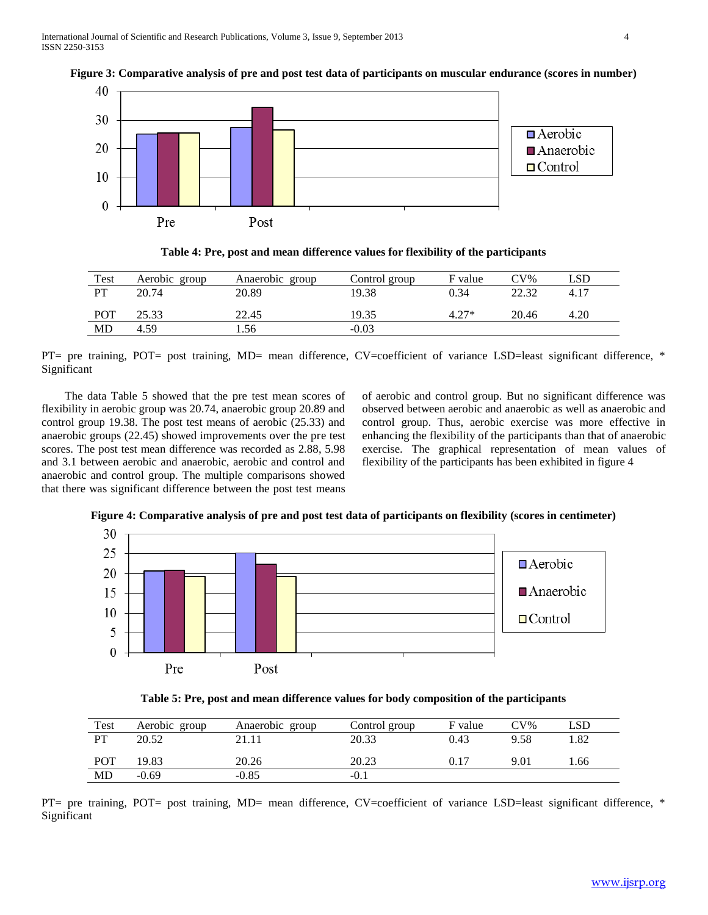

# **Figure 3: Comparative analysis of pre and post test data of participants on muscular endurance (scores in number)**



| Test | Aerobic group | Anaerobic<br>group | Control group | F value | $CV\%$ | _SD  |
|------|---------------|--------------------|---------------|---------|--------|------|
| PT   | 20.74         | 20.89              | 19.38         | 0.34    | 22.32  | 4.17 |
| POT  | 25.33         | 22.45              | 19.35         | $4.27*$ | 20.46  | 4.20 |
| MD   | 4.59          | 1.56               | $-0.03$       |         |        |      |

PT= pre training, POT= post training, MD= mean difference, CV=coefficient of variance LSD=least significant difference, \* Significant

 The data Table 5 showed that the pre test mean scores of flexibility in aerobic group was 20.74, anaerobic group 20.89 and control group 19.38. The post test means of aerobic (25.33) and anaerobic groups (22.45) showed improvements over the pre test scores. The post test mean difference was recorded as 2.88, 5.98 and 3.1 between aerobic and anaerobic, aerobic and control and anaerobic and control group. The multiple comparisons showed that there was significant difference between the post test means

of aerobic and control group. But no significant difference was observed between aerobic and anaerobic as well as anaerobic and control group. Thus, aerobic exercise was more effective in enhancing the flexibility of the participants than that of anaerobic exercise. The graphical representation of mean values of flexibility of the participants has been exhibited in figure 4



**Figure 4: Comparative analysis of pre and post test data of participants on flexibility (scores in centimeter)**

**Table 5: Pre, post and mean difference values for body composition of the participants**

| Test      | Aerobic group | Anaerobic group | Control group | F value | $CV\%$ | LSD |
|-----------|---------------|-----------------|---------------|---------|--------|-----|
| <b>DT</b> | 20.52         | 21.11           | 20.33         | 0.43    | 9.58   | .82 |
|           |               |                 |               |         |        |     |
| POT       | 19.83         | 20.26           | 20.23         | 0.17    | 9.01   | .66 |
| MD        | $-0.69$       | $-0.85$         | $-0.1$        |         |        |     |

PT= pre training, POT= post training, MD= mean difference, CV=coefficient of variance LSD=least significant difference, \* Significant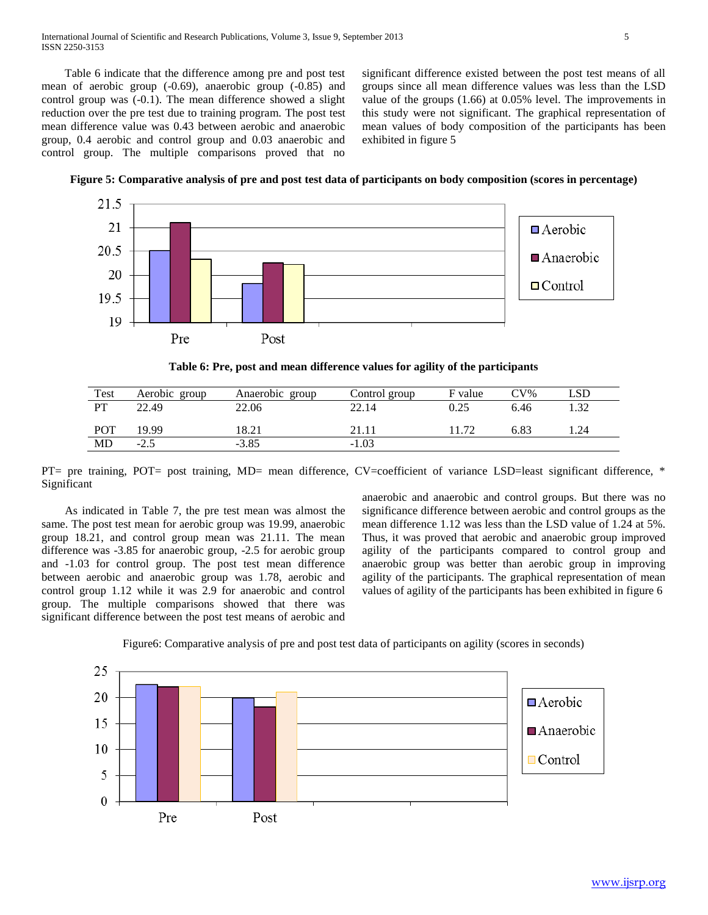Table 6 indicate that the difference among pre and post test mean of aerobic group (-0.69), anaerobic group (-0.85) and control group was (-0.1). The mean difference showed a slight reduction over the pre test due to training program. The post test mean difference value was 0.43 between aerobic and anaerobic group, 0.4 aerobic and control group and 0.03 anaerobic and control group. The multiple comparisons proved that no

significant difference existed between the post test means of all groups since all mean difference values was less than the LSD value of the groups (1.66) at 0.05% level. The improvements in this study were not significant. The graphical representation of mean values of body composition of the participants has been exhibited in figure 5





**Table 6: Pre, post and mean difference values for agility of the participants**

| Test       | Aerobic group | Anaerobic group | Control group | F value | $CV\%$ | LSD |
|------------|---------------|-----------------|---------------|---------|--------|-----|
| PT         | 22.49         | 22.06           | 22.14         | 0.25    | 6.46   | .32 |
| <b>POT</b> | 19.99         | 18.21           | 21.11         | 172     | 6.83   | .24 |
| MD         | $-2.5$        | $-3.85$         | $-1.03$       |         |        |     |
|            |               |                 |               |         |        |     |

PT= pre training, POT= post training, MD= mean difference, CV=coefficient of variance LSD=least significant difference, \* Significant

 As indicated in Table 7, the pre test mean was almost the same. The post test mean for aerobic group was 19.99, anaerobic group 18.21, and control group mean was 21.11. The mean difference was -3.85 for anaerobic group, -2.5 for aerobic group and -1.03 for control group. The post test mean difference between aerobic and anaerobic group was 1.78, aerobic and control group 1.12 while it was 2.9 for anaerobic and control group. The multiple comparisons showed that there was significant difference between the post test means of aerobic and

anaerobic and anaerobic and control groups. But there was no significance difference between aerobic and control groups as the mean difference 1.12 was less than the LSD value of 1.24 at 5%. Thus, it was proved that aerobic and anaerobic group improved agility of the participants compared to control group and anaerobic group was better than aerobic group in improving agility of the participants. The graphical representation of mean values of agility of the participants has been exhibited in figure 6